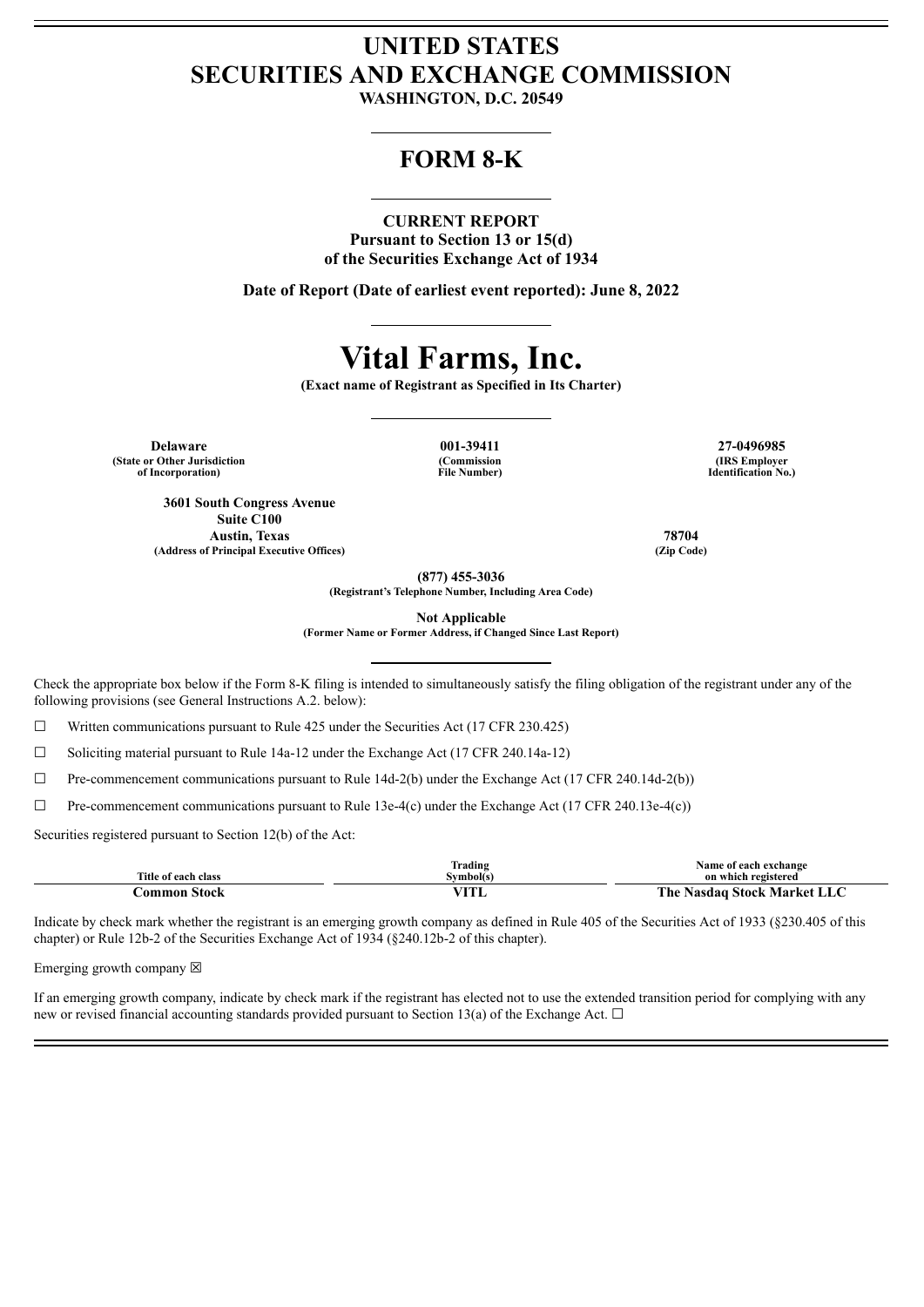## **UNITED STATES SECURITIES AND EXCHANGE COMMISSION**

**WASHINGTON, D.C. 20549**

### **FORM 8-K**

#### **CURRENT REPORT**

**Pursuant to Section 13 or 15(d) of the Securities Exchange Act of 1934**

**Date of Report (Date of earliest event reported): June 8, 2022**

# **Vital Farms, Inc.**

**(Exact name of Registrant as Specified in Its Charter)**

**(Commission File Number)**

**Delaware 001-39411 27-0496985 (State or Other Jurisdiction of Incorporation)**

**3601 South Congress Avenue Suite C100**

**Austin, Texas 78704 (Address of Principal Executive Offices) (Zip Code)**

**(IRS Employer Identification No.)**

**(877) 455-3036**

**(Registrant's Telephone Number, Including Area Code)**

**Not Applicable**

**(Former Name or Former Address, if Changed Since Last Report)**

Check the appropriate box below if the Form 8-K filing is intended to simultaneously satisfy the filing obligation of the registrant under any of the following provisions (see General Instructions A.2. below):

 $\Box$  Written communications pursuant to Rule 425 under the Securities Act (17 CFR 230.425)

 $\Box$  Soliciting material pursuant to Rule 14a-12 under the Exchange Act (17 CFR 240.14a-12)

 $\Box$  Pre-commencement communications pursuant to Rule 14d-2(b) under the Exchange Act (17 CFR 240.14d-2(b))

 $\Box$  Pre-commencement communications pursuant to Rule 13e-4(c) under the Exchange Act (17 CFR 240.13e-4(c))

Securities registered pursuant to Section 12(b) of the Act:

|                     | $\sim$<br>Trading | Name of each exchange                           |
|---------------------|-------------------|-------------------------------------------------|
| Title of each class | Symbol(s)         | on which registered                             |
| - Stock<br>`ommon   | TTTT              | The.<br><b>1 Stock Market LLC</b><br>· Nasdag . |

Indicate by check mark whether the registrant is an emerging growth company as defined in Rule 405 of the Securities Act of 1933 (§230.405 of this chapter) or Rule 12b-2 of the Securities Exchange Act of 1934 (§240.12b-2 of this chapter).

Emerging growth company  $\boxtimes$ 

If an emerging growth company, indicate by check mark if the registrant has elected not to use the extended transition period for complying with any new or revised financial accounting standards provided pursuant to Section 13(a) of the Exchange Act.  $\Box$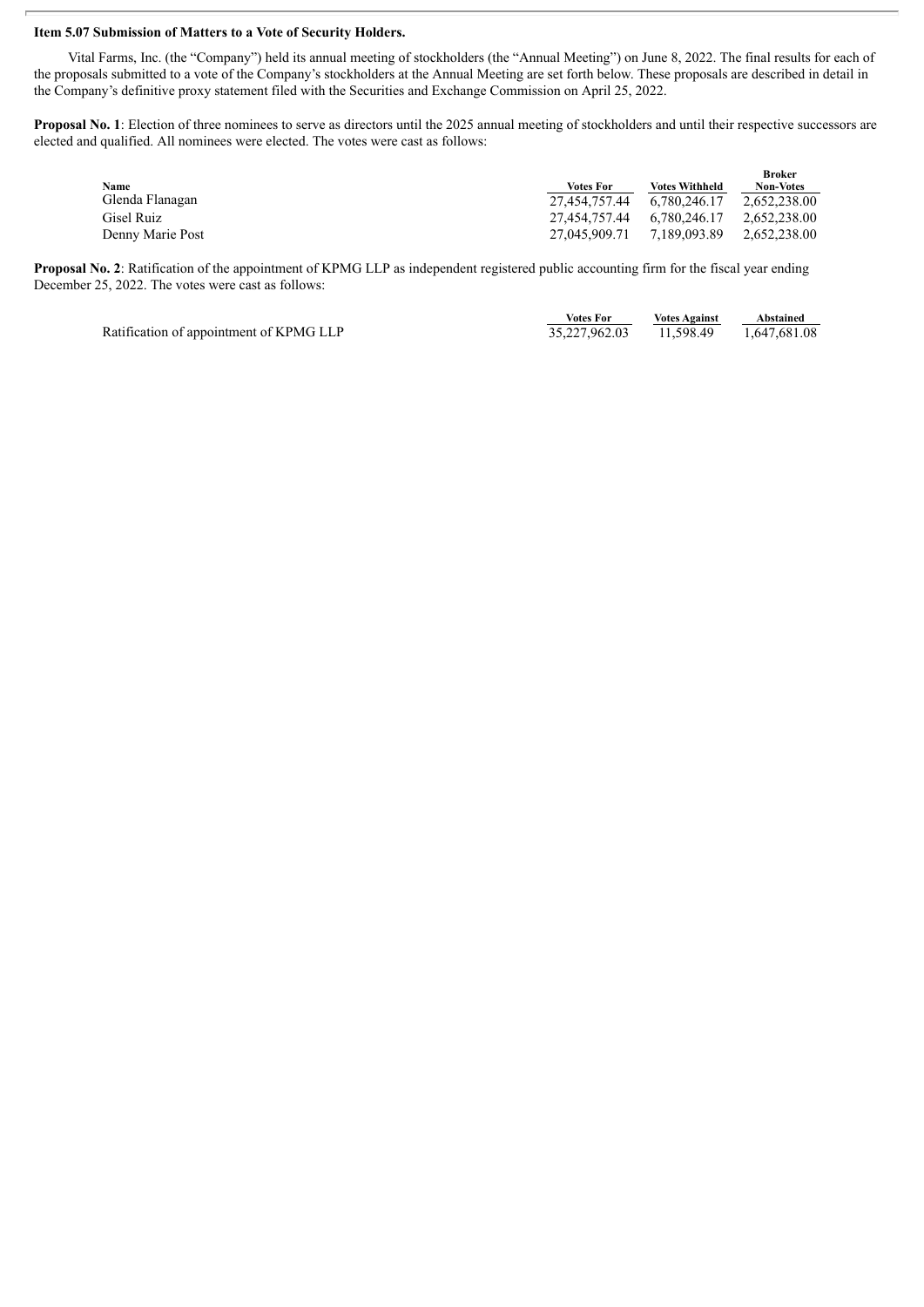#### **Item 5.07 Submission of Matters to a Vote of Security Holders.**

Vital Farms, Inc. (the "Company") held its annual meeting of stockholders (the "Annual Meeting") on June 8, 2022. The final results for each of the proposals submitted to a vote of the Company's stockholders at the Annual Meeting are set forth below. These proposals are described in detail in the Company's definitive proxy statement filed with the Securities and Exchange Commission on April 25, 2022.

Proposal No. 1: Election of three nominees to serve as directors until the 2025 annual meeting of stockholders and until their respective successors are elected and qualified. All nominees were elected. The votes were cast as follows:

| Name             | <b>Votes For</b>           | <b>Votes Withheld</b> | <b>Broker</b><br><b>Non-Votes</b> |
|------------------|----------------------------|-----------------------|-----------------------------------|
| Glenda Flanagan  | 27.454.757.44              | 6.780.246.17          | 2.652.238.00                      |
| Gisel Ruiz       | 27.454.757.44 6.780.246.17 |                       | 2,652,238.00                      |
| Denny Marie Post | 27,045,909.71              | 7.189.093.89          | 2,652,238.00                      |

**Proposal No. 2**: Ratification of the appointment of KPMG LLP as independent registered public accounting firm for the fiscal year ending December 25, 2022. The votes were cast as follows:

|                                         | Votes For               | <b>Votes Against</b> | Abstained    |
|-----------------------------------------|-------------------------|----------------------|--------------|
| Ratification of appointment of KPMG LLP | 35,227,962.03 11,598.49 |                      | 1,647,681.08 |